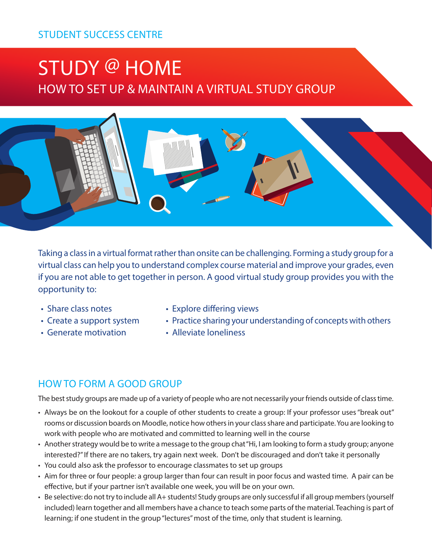## STUDENT SUCCESS CENTRE

# STUDY @ HOME HOW TO SET UP & MAINTAIN A VIRTUAL STUDY GROUP



Taking a class in a virtual format rather than onsite can be challenging. Forming a study group for a virtual class can help you to understand complex course material and improve your grades, even if you are not able to get together in person. A good virtual study group provides you with the opportunity to:

- Share class notes
- Create a support system
- Generate motivation
- Explore differing views
- Practice sharing your understanding of concepts with others
- Alleviate loneliness

## HOW TO FORM A GOOD GROUP

The best study groups are made up of a variety of people who are not necessarily your friends outside of class time.

- Always be on the lookout for a couple of other students to create a group: If your professor uses "break out" rooms or discussion boards on Moodle, notice how others in your class share and participate. You are looking to work with people who are motivated and committed to learning well in the course
- Another strategy would be to write a message to the group chat "Hi, I am looking to form a study group; anyone interested?" If there are no takers, try again next week. Don't be discouraged and don't take it personally
- You could also ask the professor to encourage classmates to set up groups
- Aim for three or four people: a group larger than four can result in poor focus and wasted time. A pair can be effective, but if your partner isn't available one week, you will be on your own.
- Be selective: do not try to include all A+ students! Study groups are only successful if all group members (yourself included) learn together and all members have a chance to teach some parts of the material. Teaching is part of learning; if one student in the group "lectures" most of the time, only that student is learning.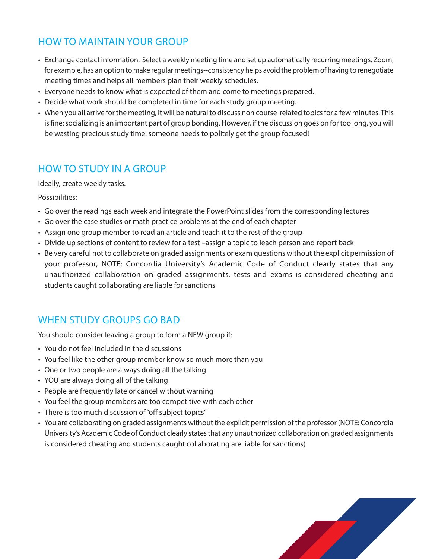## HOW TO MAINTAIN YOUR GROUP

- Exchange contact information. Select a weekly meeting time and set up automatically recurring meetings. Zoom, for example, has an option to make regular meetings--consistency helps avoid the problem of having to renegotiate meeting times and helps all members plan their weekly schedules.
- Everyone needs to know what is expected of them and come to meetings prepared.
- Decide what work should be completed in time for each study group meeting.
- When you all arrive for the meeting, it will be natural to discuss non course-related topics for a few minutes. This is fine: socializing is an important part of group bonding. However, if the discussion goes on for too long, you will be wasting precious study time: someone needs to politely get the group focused!

## HOW TO STUDY IN A GROUP

Ideally, create weekly tasks.

Possibilities:

- Go over the readings each week and integrate the PowerPoint slides from the corresponding lectures
- Go over the case studies or math practice problems at the end of each chapter
- Assign one group member to read an article and teach it to the rest of the group
- Divide up sections of content to review for a test –assign a topic to leach person and report back
- Be very careful not to collaborate on graded assignments or exam questions without the explicit permission of your professor, NOTE: Concordia University's Academic Code of Conduct clearly states that any unauthorized collaboration on graded assignments, tests and exams is considered cheating and students caught collaborating are liable for sanctions

## WHEN STUDY GROUPS GO BAD

You should consider leaving a group to form a NEW group if:

- You do not feel included in the discussions
- You feel like the other group member know so much more than you
- One or two people are always doing all the talking
- YOU are always doing all of the talking
- People are frequently late or cancel without warning
- You feel the group members are too competitive with each other
- There is too much discussion of "off subject topics"
- You are collaborating on graded assignments without the explicit permission of the professor (NOTE: Concordia University's Academic Code of Conduct clearly states that any unauthorized collaboration on graded assignments is considered cheating and students caught collaborating are liable for sanctions)